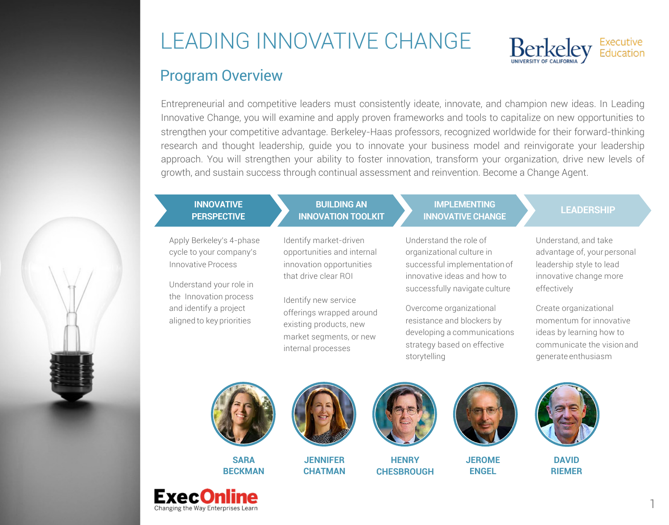# LEADING INNOVATIVE CHANGE



### Program Overview

Entrepreneurial and competitive leaders must consistently ideate, innovate, and champion new ideas. In Leading Innovative Change, you will examine and apply proven frameworks and tools to capitalize on new opportunities to strengthen your competitive advantage. Berkeley-Haas professors, recognized worldwide for their forward-thinking research and thought leadership, guide you to innovate your business model and reinvigorate your leadership approach. You will strengthen your ability to foster innovation, transform your organization, drive new levels of growth, and sustain success through continual assessment and reinvention. Become a Change Agent.

## **INNOVATIVE**

Apply Berkeley's 4-phase cycle to your company's Innovative Process

Understand your role in the Innovation process and identify a project aligned to key priorities

#### **BUILDING AN INNOVATION TOOLKIT**

Identify market-driven opportunities and internal innovation opportunities that drive clear ROI

Identify new service

internal processes

offerings wrapped around existing products, new market segments, or new

#### **IMPLEMENTING INNOVATIVE BULLER CHANGE CHANGE LEADERSHIP**

Understand the role of organizational culture in successful implementation of innovative ideas and how to successfully navigate culture

Overcome organizational resistance and blockers by developing a communications strategy based on effective storytelling

Understand, and take advantage of, yourpersonal leadership style to lead innovative change more effectively

Create organizational momentum for innovative ideas by learning how to communicate the vision and generate enthusiasm



**SARA BECKMAN**





**JENNIFER CHATMAN**



**HENRY CHESBROUGH**



**JEROME ENGEL**



**DAVID RIEMER**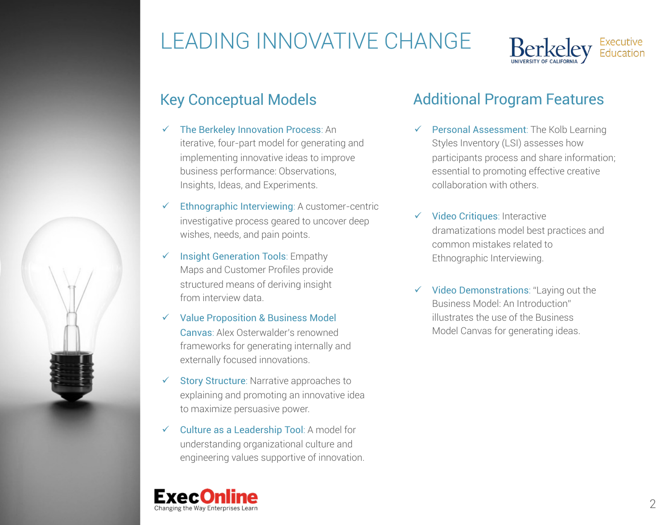



- $\checkmark$  The Berkeley Innovation Process: An iterative, four-part model for generating and implementing innovative ideas to improve business performance: Observations, Insights, Ideas, and Experiments.
- $\checkmark$  Ethnographic Interviewing: A customer-centric investigative process geared to uncover deep wishes, needs, and pain points.
- $\checkmark$  Insight Generation Tools: Empathy Maps and Customer Profiles provide structured means of deriving insight from interview data.
- $\checkmark$  Value Proposition & Business Model Canvas: Alex Osterwalder's renowned frameworks for generating internally and externally focused innovations.
- $\checkmark$  Story Structure: Narrative approaches to explaining and promoting an innovative idea to maximize persuasive power.
- $\checkmark$  Culture as a Leadership Tool: A model for understanding organizational culture and engineering values supportive of innovation.

## Key Conceptual Models **Additional Program Features**

- $\checkmark$  Personal Assessment: The Kolb Learning Styles Inventory (LSI) assesses how participants process and share information; essential to promoting effective creative collaboration with others.
- $\checkmark$  Video Critiques: Interactive dramatizations model best practices and common mistakes related to Ethnographic Interviewing.
- $\checkmark$  Video Demonstrations: "Laying out the Business Model: An Introduction" illustrates the use of the Business Model Canvas for generating ideas.

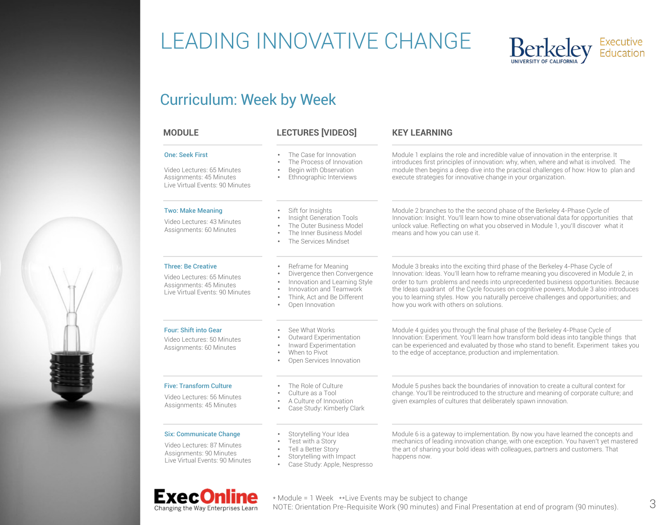# LEADING INNOVATIVE CHANGE



### Curriculum: Week by Week

| <b>MODULE</b>                                                                                                              | <b>LECTURES [VIDEOS]</b>                                                                                                                                                                                             | <b>KEY LEARNING</b>                                                                                                                                                                                                                                                                                                                                                                                                                                                                       |  |  |
|----------------------------------------------------------------------------------------------------------------------------|----------------------------------------------------------------------------------------------------------------------------------------------------------------------------------------------------------------------|-------------------------------------------------------------------------------------------------------------------------------------------------------------------------------------------------------------------------------------------------------------------------------------------------------------------------------------------------------------------------------------------------------------------------------------------------------------------------------------------|--|--|
| <b>One: Seek First</b><br>Video Lectures: 65 Minutes<br>Assignments: 45 Minutes<br>Live Virtual Events: 90 Minutes         | The Case for Innovation<br>The Process of Innovation<br>Begin with Observation<br>Ethnographic Interviews<br>$\bullet$                                                                                               | Module 1 explains the role and incredible value of innovation in the enterprise. It<br>introduces first principles of innovation: why, when, where and what is involved. The<br>module then begins a deep dive into the practical challenges of how: How to plan and<br>execute strategies for innovative change in your organization.                                                                                                                                                    |  |  |
| <b>Two: Make Meaning</b><br>Video Lectures: 43 Minutes<br>Assignments: 60 Minutes                                          | Sift for Insights<br>Insight Generation Tools<br>The Outer Business Model<br>The Inner Business Model<br>$\bullet$<br>The Services Mindset                                                                           | Module 2 branches to the the second phase of the Berkeley 4-Phase Cycle of<br>Innovation: Insight. You'll learn how to mine observational data for opportunities that<br>unlock value. Reflecting on what you observed in Module 1, you'll discover what it<br>means and how you can use it.                                                                                                                                                                                              |  |  |
| <b>Three: Be Creative</b><br>Video Lectures: 65 Minutes<br>Assignments: 45 Minutes<br>Live Virtual Events: 90 Minutes      | Reframe for Meaning<br>Divergence then Convergence<br>$\bullet$<br>Innovation and Learning Style<br>$\bullet$<br>Innovation and Teamwork<br>$\bullet$<br>Think. Act and Be Different<br>$\bullet$<br>Open Innovation | Module 3 breaks into the exciting third phase of the Berkeley 4-Phase Cycle of<br>Innovation: Ideas. You'll learn how to reframe meaning you discovered in Module 2, in<br>order to turn problems and needs into unprecedented business opportunities. Because<br>the Ideas quadrant of the Cycle focuses on cognitive powers, Module 3 also introduces<br>you to learning styles. How you naturally perceive challenges and opportunities; and<br>how you work with others on solutions. |  |  |
| <b>Four: Shift into Gear</b><br>Video Lectures: 50 Minutes<br>Assignments: 60 Minutes                                      | See What Works<br>$\bullet$<br>Outward Experimentation<br>Inward Experimentation<br>When to Pivot<br>$\bullet$<br>Open Services Innovation                                                                           | Module 4 guides you through the final phase of the Berkeley 4-Phase Cycle of<br>Innovation: Experiment. You'll learn how transform bold ideas into tangible things that<br>can be experienced and evaluated by those who stand to benefit. Experiment takes you<br>to the edge of acceptance, production and implementation.                                                                                                                                                              |  |  |
| <b>Five: Transform Culture</b><br>Video Lectures: 56 Minutes<br>Assignments: 45 Minutes                                    | The Role of Culture<br>Culture as a Tool<br>A Culture of Innovation<br>Case Study: Kimberly Clark                                                                                                                    | Module 5 pushes back the boundaries of innovation to create a cultural context for<br>change. You'll be reintroduced to the structure and meaning of corporate culture; and<br>given examples of cultures that deliberately spawn innovation.                                                                                                                                                                                                                                             |  |  |
| <b>Six: Communicate Change</b><br>Video Lectures: 87 Minutes<br>Assignments: 90 Minutes<br>Live Virtual Events: 90 Minutes | Storytelling Your Idea<br>Test with a Story<br>$\bullet$<br>Tell a Better Story<br>$\bullet$<br>Storytelling with Impact<br>$\bullet$<br>Case Study: Apple, Nespresso<br>$\bullet$                                   | Module 6 is a gateway to implementation. By now you have learned the concepts and<br>mechanics of leading innovation change, with one exception. You haven't yet mastered<br>the art of sharing your bold ideas with colleagues, partners and customers. That<br>happens now.                                                                                                                                                                                                             |  |  |

#### **ExecOnline** Changing the Way Enterprises Learn

\* Module = 1 Week \*\*Live Events may be subject to change NOTE: Orientation Pre-Requisite Work (90 minutes) and Final Presentation at end of program (90 minutes).